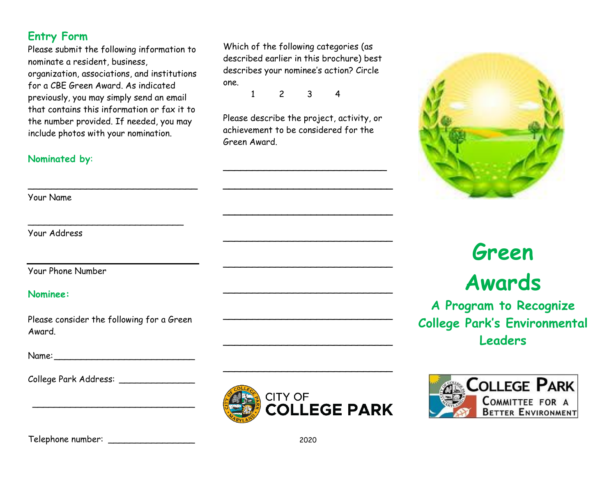#### **Entry Form**

Please submit the following information to nominate a resident, business, organization, associations, and institutions for a CBE Green Award. As indicated previously, you may simply send an email that contains this information or fax it to the number provided. If needed, you may include photos with your nomination.

 $\overline{\phantom{a}}$ 

\_\_\_\_\_\_\_\_\_\_\_\_\_\_\_\_\_\_\_\_\_\_\_\_\_\_\_\_\_

#### **Nominated by**:

Your Name

Your Address

Your Phone Number

#### **Nominee:**

Please consider the following for a Green Award.

\_\_\_\_\_\_\_\_\_\_\_\_\_\_\_\_\_\_\_\_\_\_\_\_\_\_\_\_\_\_

Name:

College Park Address: \_\_\_\_\_\_\_\_\_\_\_\_\_\_

Which of the following categories (as described earlier in this brochure) best describes your nominee's action? Circle one.

1 2 3 4

Please describe the project, activity, or achievement to be considered for the Green Award.

\_\_\_\_\_\_\_\_\_\_\_\_\_\_\_\_\_\_\_\_\_\_\_\_\_\_\_\_

**\_\_\_\_\_\_\_\_\_\_\_\_\_\_\_\_\_\_\_\_\_\_\_\_\_\_\_\_\_**

**\_\_\_\_\_\_\_\_\_\_\_\_\_\_\_\_\_\_\_\_\_\_\_\_\_\_\_\_\_**

\_\_\_\_\_\_\_\_\_\_\_\_\_\_\_\_\_\_\_\_\_\_\_\_\_\_\_\_\_

 $\overline{\phantom{a}}$ 

 $\overline{\phantom{a}}$ 

 $\overline{\phantom{a}}$ 

 $\overline{\phantom{a}}$ 

 $\overline{\phantom{a}}$ 



# **Green Awards**

**A Program to Recognize College Park's Environmental Leaders**





Telephone number: \_\_\_\_\_\_\_\_\_\_\_\_\_\_\_\_